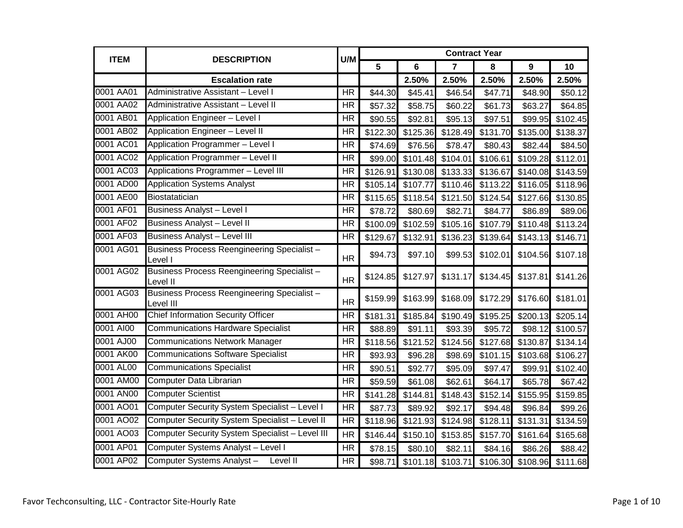| <b>ITEM</b> | <b>DESCRIPTION</b>                                       | U/M                      | <b>Contract Year</b> |          |                |                   |          |          |
|-------------|----------------------------------------------------------|--------------------------|----------------------|----------|----------------|-------------------|----------|----------|
|             |                                                          |                          | 5                    | 6        | $\overline{7}$ | 8                 | 9        | 10       |
|             | <b>Escalation rate</b>                                   |                          |                      | 2.50%    | 2.50%          | 2.50%             | 2.50%    | 2.50%    |
| 0001 AA01   | Administrative Assistant - Level I                       | <b>HR</b>                | \$44.30              | \$45.41  | \$46.54        | \$47.71           | \$48.90  | \$50.12  |
| 0001 AA02   | Administrative Assistant - Level II                      | <b>HR</b>                | \$57.32              | \$58.75  | \$60.22        | \$61.73           | \$63.27  | \$64.85  |
| 0001 AB01   | Application Engineer - Level I                           | <b>HR</b>                | \$90.55              | \$92.81  | \$95.13        | \$97.51           | \$99.95  | \$102.45 |
| 0001 AB02   | <b>Application Engineer - Level II</b>                   | <b>HR</b>                | \$122.30             | \$125.36 | \$128.49       | \$131.70          | \$135.00 | \$138.37 |
| 0001 AC01   | Application Programmer - Level I                         | <b>HR</b>                | \$74.69              | \$76.56  | \$78.47        | \$80.43           | \$82.44  | \$84.50  |
| 0001 AC02   | Application Programmer - Level II                        | <b>HR</b>                | \$99.00              | \$101.48 | \$104.01       | \$106.61          | \$109.28 | \$112.01 |
| 0001 AC03   | Applications Programmer - Level III                      | <b>HR</b>                | \$126.91             | \$130.08 | \$133.33       | \$136.67          | \$140.08 | \$143.59 |
| 0001 AD00   | <b>Application Systems Analyst</b>                       | <b>HR</b>                | \$105.14             | \$107.77 | \$110.46       | \$113.22          | \$116.05 | \$118.96 |
| 0001 AE00   | Biostatatician                                           | <b>HR</b>                | \$115.65             | \$118.54 |                | \$121.50 \$124.54 | \$127.66 | \$130.85 |
| 0001 AF01   | <b>Business Analyst - Level I</b>                        | <b>HR</b>                | \$78.72              | \$80.69  | \$82.71        | \$84.77           | \$86.89  | \$89.06  |
| 0001 AF02   | <b>Business Analyst - Level II</b>                       | <b>HR</b>                | \$100.09             | \$102.59 | \$105.16       | \$107.79          | \$110.48 | \$113.24 |
| 0001 AF03   | <b>Business Analyst - Level III</b>                      | <b>HR</b>                | \$129.67             | \$132.91 | \$136.23       | \$139.64          | \$143.13 | \$146.71 |
| 0001 AG01   | Business Process Reengineering Specialist-<br>Level I    | <b>HR</b>                | \$94.73              | \$97.10  | \$99.53        | \$102.01          | \$104.56 | \$107.18 |
| 0001 AG02   | Business Process Reengineering Specialist-<br>Level II   | <b>HR</b>                | \$124.85             | \$127.97 | \$131.17       | \$134.45          | \$137.81 | \$141.26 |
| 0001 AG03   | Business Process Reengineering Specialist -<br>Level III | <b>HR</b>                | \$159.99             | \$163.99 | \$168.09       | \$172.29          | \$176.60 | \$181.01 |
| 0001 AH00   | <b>Chief Information Security Officer</b>                | <b>HR</b>                | \$181.31             | \$185.84 | \$190.49       | \$195.25          | \$200.13 | \$205.14 |
| 0001 AI00   | <b>Communications Hardware Specialist</b>                | <b>HR</b>                | \$88.89              | \$91.11  | \$93.39        | \$95.72           | \$98.12  | \$100.57 |
| 0001 AJ00   | <b>Communications Network Manager</b>                    | <b>HR</b>                | \$118.56             | \$121.52 | \$124.56       | \$127.68          | \$130.87 | \$134.14 |
| 0001 AK00   | <b>Communications Software Specialist</b>                | <b>HR</b>                | \$93.93              | \$96.28  | \$98.69        | \$101.15          | \$103.68 | \$106.27 |
| 0001 AL00   | <b>Communications Specialist</b>                         | <b>HR</b>                | \$90.51              | \$92.77  | \$95.09        | \$97.47           | \$99.91  | \$102.40 |
| 0001 AM00   | Computer Data Librarian                                  | <b>HR</b>                | \$59.59              | \$61.08  | \$62.61        | \$64.17           | \$65.78  | \$67.42  |
| 0001 AN00   | <b>Computer Scientist</b>                                | <b>HR</b>                | \$141.28             | \$144.81 | \$148.43       | \$152.14          | \$155.95 | \$159.85 |
| 0001 AO01   | Computer Security System Specialist - Level I            | $\overline{\mathsf{HR}}$ | \$87.73              | \$89.92  | \$92.17        | \$94.48           | \$96.84  | \$99.26  |
| 0001 AO02   | Computer Security System Specialist - Level II           | <b>HR</b>                | \$118.96             | \$121.93 | \$124.98       | \$128.11          | \$131.31 | \$134.59 |
| 0001 AO03   | Computer Security System Specialist - Level III          | <b>HR</b>                | \$146.44             | \$150.10 | \$153.85       | \$157.70          | \$161.64 | \$165.68 |
| 0001 AP01   | Computer Systems Analyst - Level I                       | <b>HR</b>                | \$78.15              | \$80.10  | \$82.11        | \$84.16           | \$86.26  | \$88.42  |
| 0001 AP02   | Computer Systems Analyst-<br>Level II                    | <b>HR</b>                | \$98.71              | \$101.18 | \$103.71       | \$106.30          | \$108.96 | \$111.68 |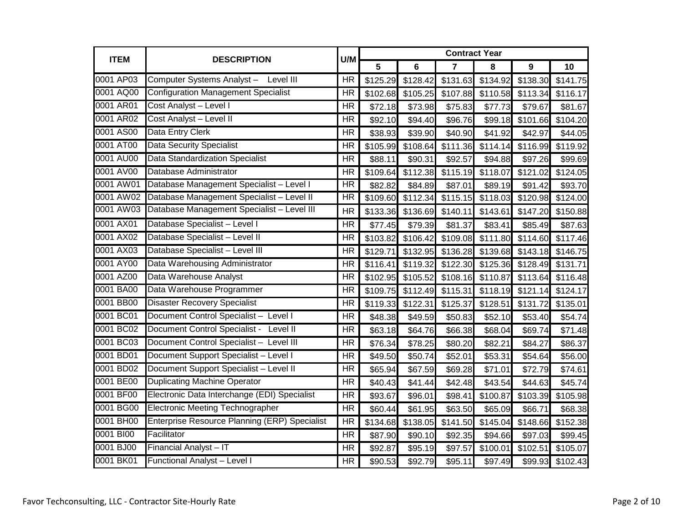| <b>ITEM</b> | <b>DESCRIPTION</b>                                   | U/M                      | <b>Contract Year</b> |                |                |          |          |          |
|-------------|------------------------------------------------------|--------------------------|----------------------|----------------|----------------|----------|----------|----------|
|             |                                                      |                          | 5                    | $6\phantom{a}$ | $\overline{7}$ | 8        | 9        | 10       |
| 0001 AP03   | Computer Systems Analyst - Level III                 | <b>HR</b>                | \$125.29             | \$128.42       | \$131.63       | \$134.92 | \$138.30 | \$141.75 |
| 0001 AQ00   | <b>Configuration Management Specialist</b>           | <b>HR</b>                | \$102.68             | \$105.25       | \$107.88       | \$110.58 | \$113.34 | \$116.17 |
| 0001 AR01   | Cost Analyst - Level I                               | <b>HR</b>                | \$72.18              | \$73.98        | \$75.83        | \$77.73  | \$79.67  | \$81.67  |
| 0001 AR02   | Cost Analyst - Level II                              | <b>HR</b>                | \$92.10              | \$94.40        | \$96.76        | \$99.18  | \$101.66 | \$104.20 |
| 0001 AS00   | Data Entry Clerk                                     | <b>HR</b>                | \$38.93              | \$39.90        | \$40.90        | \$41.92  | \$42.97  | \$44.05  |
| 0001 AT00   | <b>Data Security Specialist</b>                      | <b>HR</b>                | \$105.99             | \$108.64       | \$111.36       | \$114.14 | \$116.99 | \$119.92 |
| 0001 AU00   | <b>Data Standardization Specialist</b>               | <b>HR</b>                | \$88.11              | \$90.31        | \$92.57        | \$94.88  | \$97.26  | \$99.69  |
| 0001 AV00   | Database Administrator                               | <b>HR</b>                | \$109.64             | \$112.38       | \$115.19       | \$118.07 | \$121.02 | \$124.05 |
| 0001 AW01   | Database Management Specialist - Level I             | $\overline{\mathsf{HR}}$ | \$82.82              | \$84.89        | \$87.01        | \$89.19  | \$91.42  | \$93.70  |
| 0001 AW02   | Database Management Specialist - Level II            | $\overline{\mathsf{HR}}$ | \$109.60             | \$112.34       | \$115.15       | \$118.03 | \$120.98 | \$124.00 |
| 0001 AW03   | Database Management Specialist - Level III           | <b>HR</b>                | \$133.36             | \$136.69       | \$140.11       | \$143.61 | \$147.20 | \$150.88 |
| 0001 AX01   | Database Specialist - Level I                        | <b>HR</b>                | \$77.45              | \$79.39        | \$81.37        | \$83.41  | \$85.49  | \$87.63  |
| 0001 AX02   | Database Specialist - Level II                       | <b>HR</b>                | \$103.82             | \$106.42       | \$109.08       | \$111.80 | \$114.60 | \$117.46 |
| 0001 AX03   | Database Specialist - Level III                      | <b>HR</b>                | \$129.71             | \$132.95       | \$136.28       | \$139.68 | \$143.18 | \$146.75 |
| 0001 AY00   | Data Warehousing Administrator                       | <b>HR</b>                | \$116.41             | \$119.32       | \$122.30       | \$125.36 | \$128.49 | \$131.71 |
| 0001 AZ00   | Data Warehouse Analyst                               | $\overline{\mathsf{HR}}$ | \$102.95             | \$105.52       | \$108.16       | \$110.87 | \$113.64 | \$116.48 |
| 0001 BA00   | Data Warehouse Programmer                            | <b>HR</b>                | \$109.75             | \$112.49       | \$115.31       | \$118.19 | \$121.14 | \$124.17 |
| 0001 BB00   | <b>Disaster Recovery Specialist</b>                  | <b>HR</b>                | \$119.33             | \$122.31       | \$125.37       | \$128.51 | \$131.72 | \$135.01 |
| 0001 BC01   | Document Control Specialist - Level I                | <b>HR</b>                | \$48.38              | \$49.59        | \$50.83        | \$52.10  | \$53.40  | \$54.74  |
| 0001 BC02   | Document Control Specialist - Level II               | <b>HR</b>                | \$63.18              | \$64.76        | \$66.38        | \$68.04  | \$69.74  | \$71.48  |
| 0001 BC03   | Document Control Specialist - Level III              | <b>HR</b>                | \$76.34              | \$78.25        | \$80.20        | \$82.21  | \$84.27  | \$86.37  |
| 0001 BD01   | Document Support Specialist - Level I                | <b>HR</b>                | \$49.50              | \$50.74        | \$52.01        | \$53.31  | \$54.64  | \$56.00  |
| 0001 BD02   | Document Support Specialist - Level II               | <b>HR</b>                | \$65.94              | \$67.59        | \$69.28        | \$71.01  | \$72.79  | \$74.61  |
| 0001 BE00   | <b>Duplicating Machine Operator</b>                  | <b>HR</b>                | \$40.43              | \$41.44        | \$42.48        | \$43.54  | \$44.63  | \$45.74  |
| 0001 BF00   | Electronic Data Interchange (EDI) Specialist         | <b>HR</b>                | \$93.67              | \$96.01        | \$98.41        | \$100.87 | \$103.39 | \$105.98 |
| 0001 BG00   | <b>Electronic Meeting Technographer</b>              | <b>HR</b>                | \$60.44              | \$61.95        | \$63.50        | \$65.09  | \$66.71  | \$68.38  |
| 0001 BH00   | <b>Enterprise Resource Planning (ERP) Specialist</b> | <b>HR</b>                | \$134.68             | \$138.05       | \$141.50       | \$145.04 | \$148.66 | \$152.38 |
| 0001 BI00   | Facilitator                                          | <b>HR</b>                | \$87.90              | \$90.10        | \$92.35        | \$94.66  | \$97.03  | \$99.45  |
| 0001 BJ00   | Financial Analyst-IT                                 | <b>HR</b>                | \$92.87              | \$95.19        | \$97.57        | \$100.01 | \$102.51 | \$105.07 |
| 0001 BK01   | Functional Analyst - Level I                         | <b>HR</b>                | \$90.53              | \$92.79        | \$95.11        | \$97.49  | \$99.93  | \$102.43 |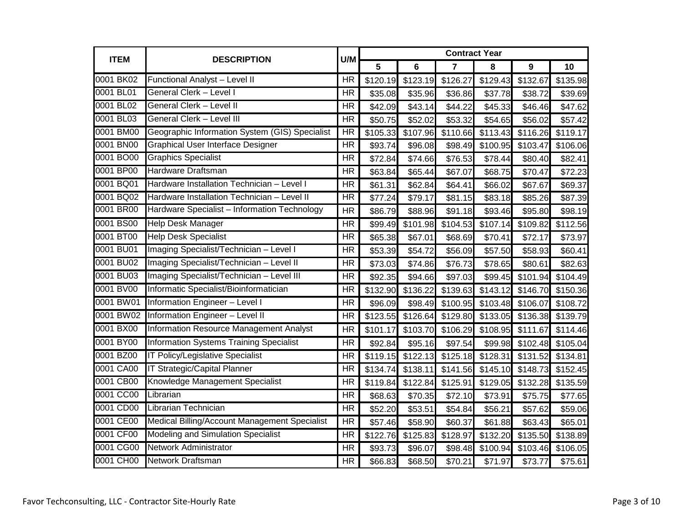| <b>ITEM</b> | <b>DESCRIPTION</b>                             | U/M                      | <b>Contract Year</b> |          |                |          |          |          |  |
|-------------|------------------------------------------------|--------------------------|----------------------|----------|----------------|----------|----------|----------|--|
|             |                                                |                          | 5                    | 6        | $\overline{7}$ | 8        | 9        | 10       |  |
| 0001 BK02   | Functional Analyst - Level II                  | <b>HR</b>                | \$120.19             | \$123.19 | \$126.27       | \$129.43 | \$132.67 | \$135.98 |  |
| 0001 BL01   | General Clerk - Level I                        | <b>HR</b>                | \$35.08              | \$35.96  | \$36.86        | \$37.78  | \$38.72  | \$39.69  |  |
| 0001 BL02   | <b>General Clerk - Level II</b>                | <b>HR</b>                | \$42.09              | \$43.14  | \$44.22        | \$45.33  | \$46.46  | \$47.62  |  |
| 0001 BL03   | <b>General Clerk - Level III</b>               | <b>HR</b>                | \$50.75              | \$52.02  | \$53.32        | \$54.65  | \$56.02  | \$57.42  |  |
| 0001 BM00   | Geographic Information System (GIS) Specialist | HR                       | \$105.33             | \$107.96 | \$110.66       | \$113.43 | \$116.26 | \$119.17 |  |
| 0001 BN00   | <b>Graphical User Interface Designer</b>       | $\overline{\mathsf{HR}}$ | \$93.74              | \$96.08  | \$98.49        | \$100.95 | \$103.47 | \$106.06 |  |
| 0001 BO00   | <b>Graphics Specialist</b>                     | <b>HR</b>                | \$72.84              | \$74.66  | \$76.53        | \$78.44  | \$80.40  | \$82.41  |  |
| 0001 BP00   | Hardware Draftsman                             | <b>HR</b>                | \$63.84              | \$65.44  | \$67.07        | \$68.75  | \$70.47  | \$72.23  |  |
| 0001 BQ01   | Hardware Installation Technician - Level I     | <b>HR</b>                | \$61.31              | \$62.84  | \$64.41        | \$66.02  | \$67.67  | \$69.37  |  |
| 0001 BQ02   | Hardware Installation Technician - Level II    | HR                       | \$77.24              | \$79.17  | \$81.15        | \$83.18  | \$85.26  | \$87.39  |  |
| 0001 BR00   | Hardware Specialist - Information Technology   | <b>HR</b>                | \$86.79              | \$88.96  | \$91.18        | \$93.46  | \$95.80  | \$98.19  |  |
| 0001 BS00   | Help Desk Manager                              | <b>HR</b>                | \$99.49              | \$101.98 | \$104.53       | \$107.14 | \$109.82 | \$112.56 |  |
| 0001 BT00   | <b>Help Desk Specialist</b>                    | <b>HR</b>                | \$65.38              | \$67.01  | \$68.69        | \$70.41  | \$72.17  | \$73.97  |  |
| 0001 BU01   | Imaging Specialist/Technician - Level I        | <b>HR</b>                | \$53.39              | \$54.72  | \$56.09        | \$57.50  | \$58.93  | \$60.41  |  |
| 0001 BU02   | Imaging Specialist/Technician - Level II       | <b>HR</b>                | \$73.03              | \$74.86  | \$76.73        | \$78.65  | \$80.61  | \$82.63  |  |
| 0001 BU03   | Imaging Specialist/Technician - Level III      | <b>HR</b>                | \$92.35              | \$94.66  | \$97.03        | \$99.45  | \$101.94 | \$104.49 |  |
| 0001 BV00   | Informatic Specialist/Bioinformatician         | <b>HR</b>                | \$132.90             | \$136.22 | \$139.63       | \$143.12 | \$146.70 | \$150.36 |  |
| 0001 BW01   | Information Engineer - Level I                 | <b>HR</b>                | \$96.09              | \$98.49  | \$100.95       | \$103.48 | \$106.07 | \$108.72 |  |
| 0001 BW02   | <b>Information Engineer - Level II</b>         | <b>HR</b>                | \$123.55             | \$126.64 | \$129.80       | \$133.05 | \$136.38 | \$139.79 |  |
| 0001 BX00   | <b>Information Resource Management Analyst</b> | <b>HR</b>                | \$101.17             | \$103.70 | \$106.29       | \$108.95 | \$111.67 | \$114.46 |  |
| 0001 BY00   | <b>Information Systems Training Specialist</b> | <b>HR</b>                | \$92.84              | \$95.16  | \$97.54        | \$99.98  | \$102.48 | \$105.04 |  |
| 0001 BZ00   | <b>IT Policy/Legislative Specialist</b>        | <b>HR</b>                | \$119.15             | \$122.13 | \$125.18       | \$128.31 | \$131.52 | \$134.81 |  |
| 0001 CA00   | <b>IT Strategic/Capital Planner</b>            | <b>HR</b>                | \$134.74             | \$138.11 | \$141.56       | \$145.10 | \$148.73 | \$152.45 |  |
| 0001 CB00   | Knowledge Management Specialist                | <b>HR</b>                | \$119.84             | \$122.84 | \$125.91       | \$129.05 | \$132.28 | \$135.59 |  |
| 0001 CC00   | Librarian                                      | <b>HR</b>                | \$68.63              | \$70.35  | \$72.10        | \$73.91  | \$75.75  | \$77.65  |  |
| 0001 CD00   | Librarian Technician                           | <b>HR</b>                | \$52.20              | \$53.51  | \$54.84        | \$56.21  | \$57.62  | \$59.06  |  |
| 0001 CE00   | Medical Billing/Account Management Specialist  | <b>HR</b>                | \$57.46              | \$58.90  | \$60.37        | \$61.88  | \$63.43  | \$65.01  |  |
| 0001 CF00   | Modeling and Simulation Specialist             | <b>HR</b>                | \$122.76             | \$125.83 | \$128.97       | \$132.20 | \$135.50 | \$138.89 |  |
| 0001 CG00   | Network Administrator                          | <b>HR</b>                | \$93.73              | \$96.07  | \$98.48        | \$100.94 | \$103.46 | \$106.05 |  |
| 0001 CH00   | Network Draftsman                              | <b>HR</b>                | \$66.83              | \$68.50  | \$70.21        | \$71.97  | \$73.77  | \$75.61  |  |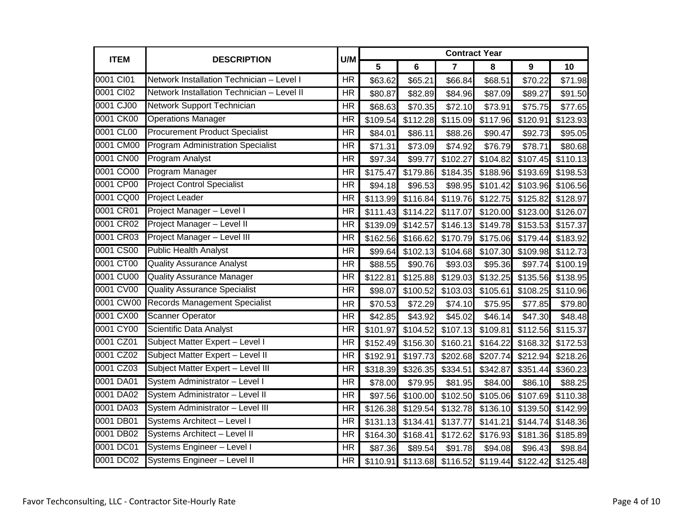| <b>ITEM</b> | <b>DESCRIPTION</b>                         | U/M                      | <b>Contract Year</b> |                |                |                            |                      |          |
|-------------|--------------------------------------------|--------------------------|----------------------|----------------|----------------|----------------------------|----------------------|----------|
|             |                                            |                          | 5                    | $6\phantom{1}$ | $\overline{7}$ | 8                          | 9                    | 10       |
| 0001 CI01   | Network Installation Technician - Level I  | <b>HR</b>                | \$63.62              | \$65.21        | \$66.84        | \$68.51                    | \$70.22              | \$71.98  |
| 0001 CI02   | Network Installation Technician - Level II | <b>HR</b>                | \$80.87              | \$82.89        | \$84.96        | \$87.09                    | \$89.27              | \$91.50  |
| 0001 CJ00   | Network Support Technician                 | <b>HR</b>                | \$68.63              | \$70.35        | \$72.10        | \$73.91                    | \$75.75              | \$77.65  |
| 0001 CK00   | <b>Operations Manager</b>                  | <b>HR</b>                | \$109.54             | \$112.28       | \$115.09       | \$117.96                   | \$120.91             | \$123.93 |
| 0001 CL00   | <b>Procurement Product Specialist</b>      | <b>HR</b>                | \$84.01              | \$86.11        | \$88.26        | \$90.47                    | \$92.73              | \$95.05  |
| 0001 CM00   | <b>Program Administration Specialist</b>   | <b>HR</b>                | \$71.31              | \$73.09        | \$74.92        | \$76.79                    | \$78.71              | \$80.68  |
| 0001 CN00   | Program Analyst                            | <b>HR</b>                | \$97.34              | \$99.77        | \$102.27       | \$104.82                   | \$107.45             | \$110.13 |
| 0001 CO00   | Program Manager                            | <b>HR</b>                | \$175.47             | \$179.86       | \$184.35       | \$188.96                   | \$193.69             | \$198.53 |
| 0001 CP00   | <b>Project Control Specialist</b>          | <b>HR</b>                | \$94.18              | \$96.53        | \$98.95        | \$101.42                   | \$103.96             | \$106.56 |
| 0001 CQ00   | <b>Project Leader</b>                      | <b>HR</b>                | \$113.99             | \$116.84       |                | \$119.76 \$122.75 \$125.82 |                      | \$128.97 |
| 0001 CR01   | Project Manager - Level I                  | <b>HR</b>                | \$111.43             | \$114.22       | \$117.07       | \$120.00                   | \$123.00             | \$126.07 |
| 0001 CR02   | Project Manager - Level II                 | <b>HR</b>                | \$139.09             | \$142.57       |                | \$146.13 \$149.78 \$153.53 |                      | \$157.37 |
| 0001 CR03   | Project Manager - Level III                | <b>HR</b>                | \$162.56             | \$166.62       |                | \$170.79 \$175.06          | \$179.44             | \$183.92 |
| 0001 CS00   | <b>Public Health Analyst</b>               | <b>HR</b>                | \$99.64              | \$102.13       | \$104.68       | \$107.30                   | \$109.98             | \$112.73 |
| 0001 CT00   | <b>Quality Assurance Analyst</b>           | <b>HR</b>                | \$88.55              | \$90.76        | \$93.03        | \$95.36                    | \$97.74              | \$100.19 |
| 0001 CU00   | <b>Quality Assurance Manager</b>           | $\overline{\mathsf{HR}}$ | \$122.81             | \$125.88       |                | \$129.03 \$132.25          | $\overline{$}135.56$ | \$138.95 |
| 0001 CV00   | <b>Quality Assurance Specialist</b>        | <b>HR</b>                | \$98.07              | \$100.52       | \$103.03       | \$105.61                   | \$108.25             | \$110.96 |
| 0001 CW00   | <b>Records Management Specialist</b>       | <b>HR</b>                | \$70.53              | \$72.29        | \$74.10        | \$75.95                    | \$77.85              | \$79.80  |
| 0001 CX00   | <b>Scanner Operator</b>                    | <b>HR</b>                | \$42.85              | \$43.92        | \$45.02        | \$46.14                    | \$47.30              | \$48.48  |
| 0001 CY00   | Scientific Data Analyst                    | <b>HR</b>                | \$101.97             | \$104.52       | \$107.13       | \$109.81                   | \$112.56             | \$115.37 |
| 0001 CZ01   | Subject Matter Expert - Level I            | <b>HR</b>                | \$152.49             | \$156.30       | \$160.21       | \$164.22                   | \$168.32             | \$172.53 |
| 0001 CZ02   | Subject Matter Expert - Level II           | $\overline{\mathsf{HR}}$ | \$192.91             | \$197.73       | \$202.68       | \$207.74                   | \$212.94             | \$218.26 |
| 0001 CZ03   | Subject Matter Expert - Level III          | <b>HR</b>                | \$318.39             | \$326.35       | \$334.51       | \$342.87                   | \$351.44             | \$360.23 |
| 0001 DA01   | System Administrator - Level I             | <b>HR</b>                | \$78.00              | \$79.95        | \$81.95        | \$84.00                    | \$86.10              | \$88.25  |
| 0001 DA02   | System Administrator - Level II            | <b>HR</b>                | \$97.56              | \$100.00       | \$102.50       | \$105.06                   | \$107.69             | \$110.38 |
| 0001 DA03   | System Administrator - Level III           | <b>HR</b>                | \$126.38             | \$129.54       |                | \$132.78 \$136.10          | \$139.50             | \$142.99 |
| 0001 DB01   | Systems Architect - Level I                | <b>HR</b>                | \$131.13             | \$134.41       | \$137.77       | \$141.21                   | \$144.74             | \$148.36 |
| 0001 DB02   | Systems Architect - Level II               | $\overline{\mathsf{HR}}$ | \$164.30             | \$168.41       | \$172.62       | \$176.93                   | \$181.36             | \$185.89 |
| 0001 DC01   | Systems Engineer - Level I                 | <b>HR</b>                | \$87.36              | \$89.54        | \$91.78        | \$94.08                    | \$96.43              | \$98.84  |
| 0001 DC02   | Systems Engineer - Level II                | <b>HR</b>                | \$110.91             | \$113.68       |                | \$116.52 \$119.44 \$122.42 |                      | \$125.48 |